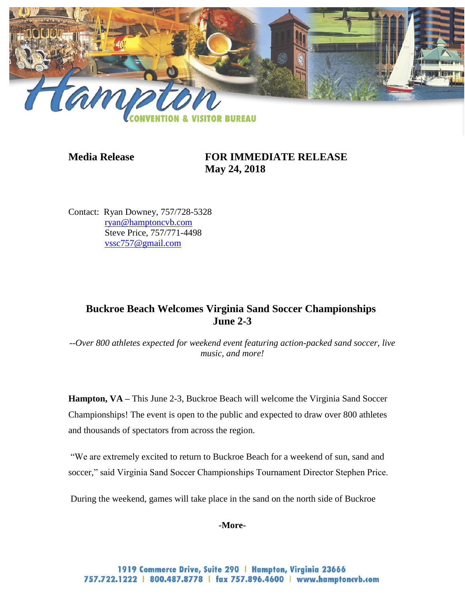

## **Media Release FOR IMMEDIATE RELEASE May 24, 2018**

Contact: Ryan Downey, 757/728-5328 [ryan@hamptoncvb.com](mailto:ryan@hamptoncvb.com) Steve Price, 757/771-4498 [vssc757@gmail.com](mailto:vssc757@gmail.com)

# **Buckroe Beach Welcomes Virginia Sand Soccer Championships June 2-3**

*--Over 800 athletes expected for weekend event featuring action-packed sand soccer, live music, and more!*

**Hampton, VA** – This June 2-3, Buckroe Beach will welcome the Virginia Sand Soccer Championships! The event is open to the public and expected to draw over 800 athletes and thousands of spectators from across the region.

"We are extremely excited to return to Buckroe Beach for a weekend of sun, sand and soccer," said Virginia Sand Soccer Championships Tournament Director Stephen Price.

During the weekend, games will take place in the sand on the north side of Buckroe

**-More-**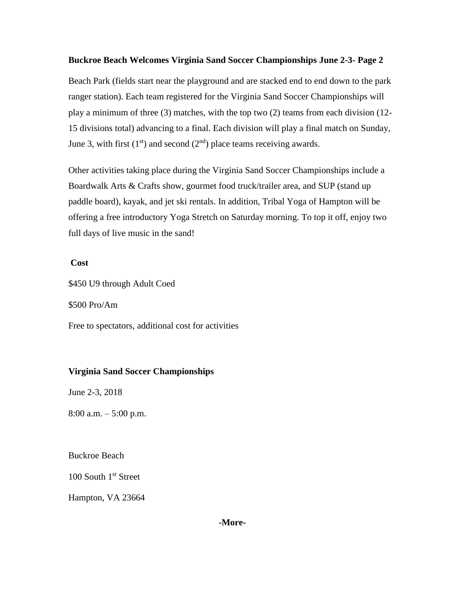### **Buckroe Beach Welcomes Virginia Sand Soccer Championships June 2-3- Page 2**

Beach Park (fields start near the playground and are stacked end to end down to the park ranger station). Each team registered for the Virginia Sand Soccer Championships will play a minimum of three (3) matches, with the top two (2) teams from each division (12- 15 divisions total) advancing to a final. Each division will play a final match on Sunday, June 3, with first  $(1<sup>st</sup>)$  and second  $(2<sup>nd</sup>)$  place teams receiving awards.

Other activities taking place during the Virginia Sand Soccer Championships include a Boardwalk Arts & Crafts show, gourmet food truck/trailer area, and SUP (stand up paddle board), kayak, and jet ski rentals. In addition, Tribal Yoga of Hampton will be offering a free introductory Yoga Stretch on Saturday morning. To top it off, enjoy two full days of live music in the sand!

### **Cost**

\$450 U9 through Adult Coed

\$500 Pro/Am

Free to spectators, additional cost for activities

## **Virginia Sand Soccer Championships**

June 2-3, 2018

8:00 a.m. – 5:00 p.m.

Buckroe Beach

100 South 1<sup>st</sup> Street

Hampton, VA 23664